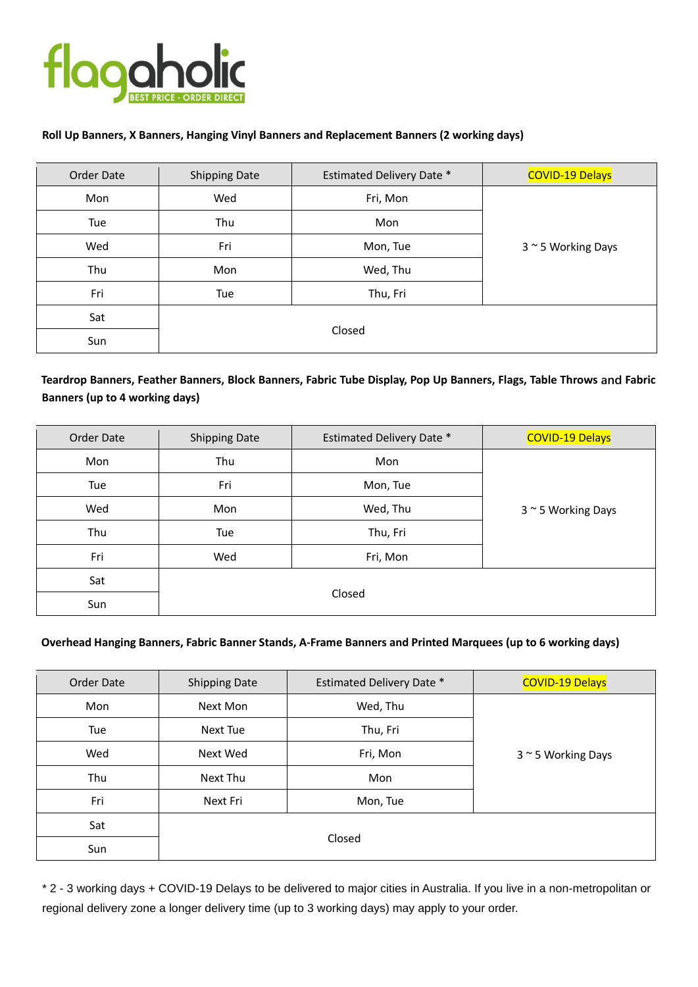

### **Roll Up Banners, X Banners, Hanging Vinyl Banners and Replacement Banners (2 working days)**

| Order Date | <b>Shipping Date</b> | <b>Estimated Delivery Date *</b> | <b>COVID-19 Delays</b> |
|------------|----------------------|----------------------------------|------------------------|
| Mon        | Wed                  | Fri, Mon                         |                        |
| Tue        | Thu                  | Mon                              |                        |
| Wed        | Fri                  | Mon, Tue                         | 3 ~ 5 Working Days     |
| Thu        | Mon                  | Wed, Thu                         |                        |
| Fri        | Tue                  | Thu, Fri                         |                        |
| Sat        | Closed               |                                  |                        |
| Sun        |                      |                                  |                        |

# **Teardrop Banners, Feather Banners, Block Banners, Fabric Tube Display, Pop Up Banners, Flags, Table Throws and Fabric Banners (up to 4 working days)**

| Order Date | <b>Shipping Date</b> | <b>Estimated Delivery Date *</b> | <b>COVID-19 Delays</b> |
|------------|----------------------|----------------------------------|------------------------|
| Mon        | Thu                  | Mon                              |                        |
| Tue        | Fri                  | Mon, Tue                         | 3~5 Working Days       |
| Wed        | Mon                  | Wed, Thu                         |                        |
| Thu        | Tue                  | Thu, Fri                         |                        |
| Fri        | Wed                  | Fri, Mon                         |                        |
| Sat        | Closed               |                                  |                        |
| Sun        |                      |                                  |                        |

#### **Overhead Hanging Banners, Fabric Banner Stands, A-Frame Banners and Printed Marquees (up to 6 working days)**

| Order Date | <b>Shipping Date</b> | <b>Estimated Delivery Date *</b> | <b>COVID-19 Delays</b> |
|------------|----------------------|----------------------------------|------------------------|
| Mon        | Next Mon             | Wed, Thu                         | 3~5 Working Days       |
| Tue        | Next Tue             | Thu, Fri                         |                        |
| Wed        | Next Wed             | Fri, Mon                         |                        |
| Thu        | Next Thu             | Mon                              |                        |
| Fri        | Next Fri             | Mon, Tue                         |                        |
| Sat        | Closed               |                                  |                        |
| Sun        |                      |                                  |                        |

\* 2 - 3 working days + COVID-19 Delays to be delivered to major cities in Australia. If you live in a non-metropolitan or regional delivery zone a longer delivery time (up to 3 working days) may apply to your order.